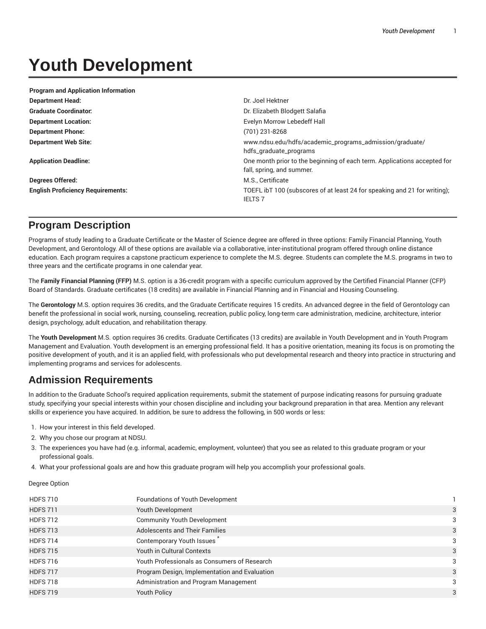# **Youth Development**

| <b>Program and Application Information</b> |                                                                                                       |  |
|--------------------------------------------|-------------------------------------------------------------------------------------------------------|--|
| <b>Department Head:</b>                    | Dr. Joel Hektner                                                                                      |  |
| <b>Graduate Coordinator:</b>               | Dr. Elizabeth Blodgett Salafia                                                                        |  |
| <b>Department Location:</b>                | Evelyn Morrow Lebedeff Hall                                                                           |  |
| <b>Department Phone:</b>                   | (701) 231-8268                                                                                        |  |
| <b>Department Web Site:</b>                | www.ndsu.edu/hdfs/academic_programs_admission/graduate/<br>hdfs_graduate_programs                     |  |
| <b>Application Deadline:</b>               | One month prior to the beginning of each term. Applications accepted for<br>fall, spring, and summer. |  |
| <b>Degrees Offered:</b>                    | M.S., Certificate                                                                                     |  |
| <b>English Proficiency Requirements:</b>   | TOEFL ibT 100 (subscores of at least 24 for speaking and 21 for writing);<br><b>IELTS 7</b>           |  |

## **Program Description**

Programs of study leading to a Graduate Certificate or the Master of Science degree are offered in three options: Family Financial Planning, Youth Development, and Gerontology. All of these options are available via a collaborative, inter-institutional program offered through online distance education. Each program requires a capstone practicum experience to complete the M.S. degree. Students can complete the M.S. programs in two to three years and the certificate programs in one calendar year.

The **Family Financial Planning (FFP)** M.S. option is a 36-credit program with a specific curriculum approved by the Certified Financial Planner (CFP) Board of Standards. Graduate certificates (18 credits) are available in Financial Planning and in Financial and Housing Counseling.

The **Gerontology** M.S. option requires 36 credits, and the Graduate Certificate requires 15 credits. An advanced degree in the field of Gerontology can benefit the professional in social work, nursing, counseling, recreation, public policy, long-term care administration, medicine, architecture, interior design, psychology, adult education, and rehabilitation therapy.

The **Youth Development** M.S. option requires 36 credits. Graduate Certificates (13 credits) are available in Youth Development and in Youth Program Management and Evaluation. Youth development is an emerging professional field. It has a positive orientation, meaning its focus is on promoting the positive development of youth, and it is an applied field, with professionals who put developmental research and theory into practice in structuring and implementing programs and services for adolescents.

## **Admission Requirements**

In addition to the Graduate School's required application requirements, submit the statement of purpose indicating reasons for pursuing graduate study, specifying your special interests within your chosen discipline and including your background preparation in that area. Mention any relevant skills or experience you have acquired. In addition, be sure to address the following, in 500 words or less:

- 1. How your interest in this field developed.
- 2. Why you chose our program at NDSU.
- 3. The experiences you have had (e.g. informal, academic, employment, volunteer) that you see as related to this graduate program or your professional goals.
- 4. What your professional goals are and how this graduate program will help you accomplish your professional goals.

Degree Option

| Foundations of Youth Development              |   |
|-----------------------------------------------|---|
| Youth Development                             | 3 |
| <b>Community Youth Development</b>            | 3 |
| <b>Adolescents and Their Families</b>         | 3 |
| Contemporary Youth Issues                     | 3 |
| Youth in Cultural Contexts                    | 3 |
| Youth Professionals as Consumers of Research  | 3 |
| Program Design, Implementation and Evaluation | 3 |
| Administration and Program Management         | 3 |
| <b>Youth Policy</b>                           | 3 |
|                                               |   |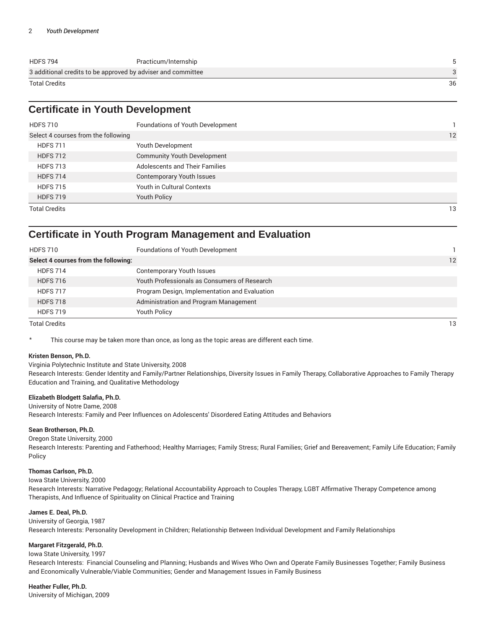| <b>HDFS 794</b>                                              | Practicum/Internship |    |
|--------------------------------------------------------------|----------------------|----|
| 3 additional credits to be approved by adviser and committee |                      |    |
| Total Credits                                                |                      | 36 |

## **Certificate in Youth Development**

| <b>HDFS 710</b>                     | Foundations of Youth Development      |    |
|-------------------------------------|---------------------------------------|----|
| Select 4 courses from the following |                                       | 12 |
| <b>HDFS 711</b>                     | Youth Development                     |    |
| <b>HDFS 712</b>                     | <b>Community Youth Development</b>    |    |
| <b>HDFS 713</b>                     | <b>Adolescents and Their Families</b> |    |
| <b>HDFS 714</b>                     | <b>Contemporary Youth Issues</b>      |    |
| <b>HDFS 715</b>                     | Youth in Cultural Contexts            |    |
| <b>HDFS 719</b>                     | <b>Youth Policy</b>                   |    |
| <b>Total Credits</b>                |                                       | 13 |

### **Certificate in Youth Program Management and Evaluation**

| <b>HDFS 710</b>                      | Foundations of Youth Development              |    |
|--------------------------------------|-----------------------------------------------|----|
| Select 4 courses from the following: |                                               | 12 |
| <b>HDFS 714</b>                      | <b>Contemporary Youth Issues</b>              |    |
| <b>HDFS 716</b>                      | Youth Professionals as Consumers of Research  |    |
| <b>HDFS 717</b>                      | Program Design, Implementation and Evaluation |    |
| <b>HDFS 718</b>                      | Administration and Program Management         |    |
| <b>HDFS 719</b>                      | <b>Youth Policy</b>                           |    |
| <b>Total Credits</b>                 |                                               | 13 |

This course may be taken more than once, as long as the topic areas are different each time.

#### **Kristen Benson, Ph.D.**

Virginia Polytechnic Institute and State University, 2008

Research Interests: Gender Identity and Family/Partner Relationships, Diversity Issues in Family Therapy, Collaborative Approaches to Family Therapy Education and Training, and Qualitative Methodology

#### **Elizabeth Blodgett Salafia, Ph.D.**

University of Notre Dame, 2008

Research Interests: Family and Peer Influences on Adolescents' Disordered Eating Attitudes and Behaviors

#### **Sean Brotherson, Ph.D.**

Oregon State University, 2000

Research Interests: Parenting and Fatherhood; Healthy Marriages; Family Stress; Rural Families; Grief and Bereavement; Family Life Education; Family Policy

#### **Thomas Carlson, Ph.D.**

Iowa State University, 2000

Research Interests: Narrative Pedagogy; Relational Accountability Approach to Couples Therapy, LGBT Affirmative Therapy Competence among Therapists, And Influence of Spirituality on Clinical Practice and Training

#### **James E. Deal, Ph.D.**

University of Georgia, 1987 Research Interests: Personality Development in Children; Relationship Between Individual Development and Family Relationships

#### **Margaret Fitzgerald, Ph.D.**

#### Iowa State University, 1997

Research Interests: Financial Counseling and Planning; Husbands and Wives Who Own and Operate Family Businesses Together; Family Business and Economically Vulnerable/Viable Communities; Gender and Management Issues in Family Business

#### **Heather Fuller, Ph.D.**

University of Michigan, 2009